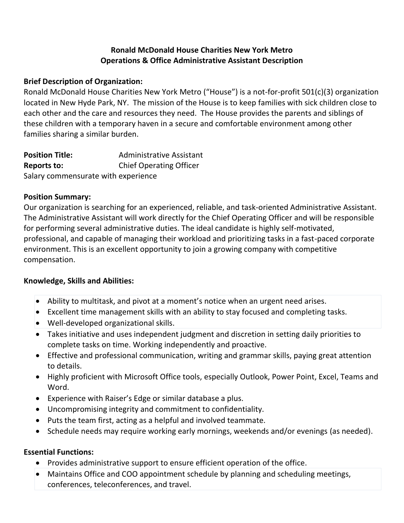### **Ronald McDonald House Charities New York Metro Operations & Office Administrative Assistant Description**

### **Brief Description of Organization:**

Ronald McDonald House Charities New York Metro ("House") is a not-for-profit 501(c)(3) organization located in New Hyde Park, NY. The mission of the House is to keep families with sick children close to each other and the care and resources they need. The House provides the parents and siblings of these children with a temporary haven in a secure and comfortable environment among other families sharing a similar burden.

| <b>Position Title:</b>              | <b>Administrative Assistant</b> |
|-------------------------------------|---------------------------------|
| <b>Reports to:</b>                  | <b>Chief Operating Officer</b>  |
| Salary commensurate with experience |                                 |

### **Position Summary:**

Our organization is searching for an experienced, reliable, and task-oriented Administrative Assistant. The Administrative Assistant will work directly for the Chief Operating Officer and will be responsible for performing several administrative duties. The ideal candidate is highly self-motivated, professional, and capable of managing their workload and prioritizing tasks in a fast-paced corporate environment. This is an excellent opportunity to join a growing company with competitive compensation.

## **Knowledge, Skills and Abilities:**

- Ability to multitask, and pivot at a moment's notice when an urgent need arises.
- Excellent time management skills with an ability to stay focused and completing tasks.
- Well-developed organizational skills.
- Takes initiative and uses independent judgment and discretion in setting daily priorities to complete tasks on time. Working independently and proactive.
- Effective and professional communication, writing and grammar skills, paying great attention to details.
- Highly proficient with Microsoft Office tools, especially Outlook, Power Point, Excel, Teams and Word.
- Experience with Raiser's Edge or similar database a plus.
- Uncompromising integrity and commitment to confidentiality.
- Puts the team first, acting as a helpful and involved teammate.
- Schedule needs may require working early mornings, weekends and/or evenings (as needed).

### **Essential Functions:**

- Provides administrative support to ensure efficient operation of the office.
- Maintains Office and COO appointment schedule by planning and scheduling meetings, conferences, teleconferences, and travel.